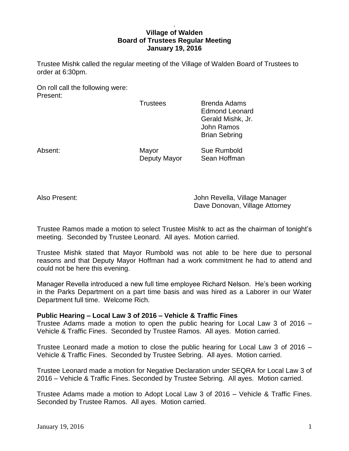# . **Village of Walden Board of Trustees Regular Meeting January 19, 2016**

Trustee Mishk called the regular meeting of the Village of Walden Board of Trustees to order at 6:30pm.

On roll call the following were: Present:

Trustees Brenda Adams Edmond Leonard Gerald Mishk, Jr. John Ramos Brian Sebring

Absent: Mayor Sue Rumbold Deputy Mayor Sean Hoffman

Also Present: John Revella, Village Manager Dave Donovan, Village Attorney

Trustee Ramos made a motion to select Trustee Mishk to act as the chairman of tonight's meeting. Seconded by Trustee Leonard. All ayes. Motion carried.

Trustee Mishk stated that Mayor Rumbold was not able to be here due to personal reasons and that Deputy Mayor Hoffman had a work commitment he had to attend and could not be here this evening.

Manager Revella introduced a new full time employee Richard Nelson. He's been working in the Parks Department on a part time basis and was hired as a Laborer in our Water Department full time. Welcome Rich.

# **Public Hearing – Local Law 3 of 2016 – Vehicle & Traffic Fines**

Trustee Adams made a motion to open the public hearing for Local Law 3 of 2016 – Vehicle & Traffic Fines. Seconded by Trustee Ramos. All ayes. Motion carried.

Trustee Leonard made a motion to close the public hearing for Local Law 3 of 2016 – Vehicle & Traffic Fines. Seconded by Trustee Sebring. All ayes. Motion carried.

Trustee Leonard made a motion for Negative Declaration under SEQRA for Local Law 3 of 2016 – Vehicle & Traffic Fines. Seconded by Trustee Sebring. All ayes. Motion carried.

Trustee Adams made a motion to Adopt Local Law 3 of 2016 – Vehicle & Traffic Fines. Seconded by Trustee Ramos. All ayes. Motion carried.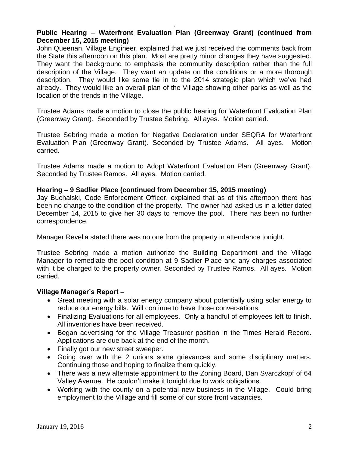# **Public Hearing – Waterfront Evaluation Plan (Greenway Grant) (continued from December 15, 2015 meeting)**

.

John Queenan, Village Engineer, explained that we just received the comments back from the State this afternoon on this plan. Most are pretty minor changes they have suggested. They want the background to emphasis the community description rather than the full description of the Village. They want an update on the conditions or a more thorough description. They would like some tie in to the 2014 strategic plan which we've had already. They would like an overall plan of the Village showing other parks as well as the location of the trends in the Village.

Trustee Adams made a motion to close the public hearing for Waterfront Evaluation Plan (Greenway Grant). Seconded by Trustee Sebring. All ayes. Motion carried.

Trustee Sebring made a motion for Negative Declaration under SEQRA for Waterfront Evaluation Plan (Greenway Grant). Seconded by Trustee Adams. All ayes. Motion carried.

Trustee Adams made a motion to Adopt Waterfront Evaluation Plan (Greenway Grant). Seconded by Trustee Ramos. All ayes. Motion carried.

# **Hearing – 9 Sadlier Place (continued from December 15, 2015 meeting)**

Jay Buchalski, Code Enforcement Officer, explained that as of this afternoon there has been no change to the condition of the property. The owner had asked us in a letter dated December 14, 2015 to give her 30 days to remove the pool. There has been no further correspondence.

Manager Revella stated there was no one from the property in attendance tonight.

Trustee Sebring made a motion authorize the Building Department and the Village Manager to remediate the pool condition at 9 Sadlier Place and any charges associated with it be charged to the property owner. Seconded by Trustee Ramos. All ayes. Motion carried.

#### **Village Manager's Report –**

- Great meeting with a solar energy company about potentially using solar energy to reduce our energy bills. Will continue to have those conversations.
- Finalizing Evaluations for all employees. Only a handful of employees left to finish. All inventories have been received.
- Began advertising for the Village Treasurer position in the Times Herald Record. Applications are due back at the end of the month.
- Finally got our new street sweeper.
- Going over with the 2 unions some grievances and some disciplinary matters. Continuing those and hoping to finalize them quickly.
- There was a new alternate appointment to the Zoning Board, Dan Svarczkopf of 64 Valley Avenue. He couldn't make it tonight due to work obligations.
- Working with the county on a potential new business in the Village. Could bring employment to the Village and fill some of our store front vacancies.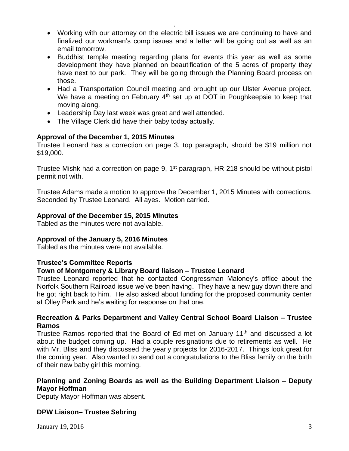Working with our attorney on the electric bill issues we are continuing to have and finalized our workman's comp issues and a letter will be going out as well as an email tomorrow.

.

- Buddhist temple meeting regarding plans for events this year as well as some development they have planned on beautification of the 5 acres of property they have next to our park. They will be going through the Planning Board process on those.
- Had a Transportation Council meeting and brought up our Ulster Avenue project. We have a meeting on February  $4<sup>th</sup>$  set up at DOT in Poughkeepsie to keep that moving along.
- Leadership Day last week was great and well attended.
- The Village Clerk did have their baby today actually.

# **Approval of the December 1, 2015 Minutes**

Trustee Leonard has a correction on page 3, top paragraph, should be \$19 million not \$19,000.

Trustee Mishk had a correction on page 9, 1<sup>st</sup> paragraph, HR 218 should be without pistol permit not with.

Trustee Adams made a motion to approve the December 1, 2015 Minutes with corrections. Seconded by Trustee Leonard. All ayes. Motion carried.

# **Approval of the December 15, 2015 Minutes**

Tabled as the minutes were not available.

# **Approval of the January 5, 2016 Minutes**

Tabled as the minutes were not available.

# **Trustee's Committee Reports**

# **Town of Montgomery & Library Board liaison – Trustee Leonard**

Trustee Leonard reported that he contacted Congressman Maloney's office about the Norfolk Southern Railroad issue we've been having. They have a new guy down there and he got right back to him. He also asked about funding for the proposed community center at Olley Park and he's waiting for response on that one.

# **Recreation & Parks Department and Valley Central School Board Liaison – Trustee Ramos**

Trustee Ramos reported that the Board of Ed met on January 11<sup>th</sup> and discussed a lot about the budget coming up. Had a couple resignations due to retirements as well. He with Mr. Bliss and they discussed the yearly projects for 2016-2017. Things look great for the coming year. Also wanted to send out a congratulations to the Bliss family on the birth of their new baby girl this morning.

# **Planning and Zoning Boards as well as the Building Department Liaison – Deputy Mayor Hoffman**

Deputy Mayor Hoffman was absent.

# **DPW Liaison– Trustee Sebring**

January 19, 2016  $\overline{3}$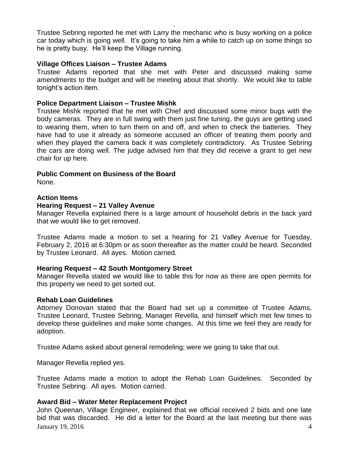Trustee Sebring reported he met with Larry the mechanic who is busy working on a police car today which is going well. It's going to take him a while to catch up on some things so he is pretty busy. He'll keep the Village running.

.

#### **Village Offices Liaison – Trustee Adams**

Trustee Adams reported that she met with Peter and discussed making some amendments to the budget and will be meeting about that shortly. We would like to table tonight's action item.

## **Police Department Liaison – Trustee Mishk**

Trustee Mishk reported that he met with Chief and discussed some minor bugs with the body cameras. They are in full swing with them just fine tuning, the guys are getting used to wearing them, when to turn them on and off, and when to check the batteries. They have had to use it already as someone accused an officer of treating them poorly and when they played the camera back it was completely contradictory. As Trustee Sebring the cars are doing well. The judge advised him that they did receive a grant to get new chair for up here.

## **Public Comment on Business of the Board**

None.

## **Action Items**

#### **Hearing Request – 21 Valley Avenue**

Manager Revella explained there is a large amount of household debris in the back yard that we would like to get removed.

Trustee Adams made a motion to set a hearing for 21 Valley Avenue for Tuesday, February 2, 2016 at 6:30pm or as soon thereafter as the matter could be heard. Seconded by Trustee Leonard. All ayes. Motion carried.

#### **Hearing Request – 42 South Montgomery Street**

Manager Revella stated we would like to table this for now as there are open permits for this property we need to get sorted out.

#### **Rehab Loan Guidelines**

Attorney Donovan stated that the Board had set up a committee of Trustee Adams, Trustee Leonard, Trustee Sebring, Manager Revella, and himself which met few times to develop these guidelines and make some changes. At this time we feel they are ready for adoption.

Trustee Adams asked about general remodeling; were we going to take that out.

Manager Revella replied yes.

Trustee Adams made a motion to adopt the Rehab Loan Guidelines. Seconded by Trustee Sebring. All ayes. Motion carried.

# **Award Bid – Water Meter Replacement Project**

**January 19, 2016** 4 John Queenan, Village Engineer, explained that we official received 2 bids and one late bid that was discarded. He did a letter for the Board at the last meeting but there was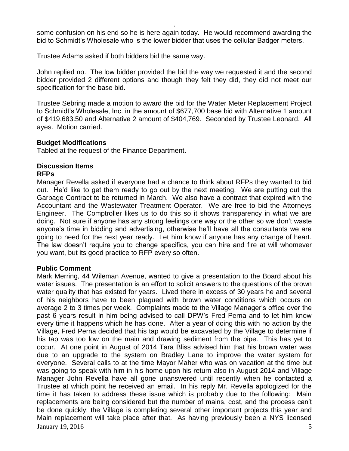some confusion on his end so he is here again today. He would recommend awarding the bid to Schmidt's Wholesale who is the lower bidder that uses the cellular Badger meters.

.

Trustee Adams asked if both bidders bid the same way.

John replied no. The low bidder provided the bid the way we requested it and the second bidder provided 2 different options and though they felt they did, they did not meet our specification for the base bid.

Trustee Sebring made a motion to award the bid for the Water Meter Replacement Project to Schmidt's Wholesale, Inc. in the amount of \$677,700 base bid with Alternative 1 amount of \$419,683.50 and Alternative 2 amount of \$404,769. Seconded by Trustee Leonard. All ayes. Motion carried.

#### **Budget Modifications**

Tabled at the request of the Finance Department.

# **Discussion Items**

# **RFPs**

Manager Revella asked if everyone had a chance to think about RFPs they wanted to bid out. He'd like to get them ready to go out by the next meeting. We are putting out the Garbage Contract to be returned in March. We also have a contract that expired with the Accountant and the Wastewater Treatment Operator. We are free to bid the Attorneys Engineer. The Comptroller likes us to do this so it shows transparency in what we are doing. Not sure if anyone has any strong feelings one way or the other so we don't waste anyone's time in bidding and advertising, otherwise he'll have all the consultants we are going to need for the next year ready. Let him know if anyone has any change of heart. The law doesn't require you to change specifics, you can hire and fire at will whomever you want, but its good practice to RFP every so often.

# **Public Comment**

 $January$  19, 2016  $5$ Mark Merring, 44 Wileman Avenue, wanted to give a presentation to the Board about his water issues. The presentation is an effort to solicit answers to the questions of the brown water quality that has existed for years. Lived there in excess of 30 years he and several of his neighbors have to been plagued with brown water conditions which occurs on average 2 to 3 times per week. Complaints made to the Village Manager's office over the past 6 years result in him being advised to call DPW's Fred Perna and to let him know every time it happens which he has done. After a year of doing this with no action by the Village, Fred Perna decided that his tap would be excavated by the Village to determine if his tap was too low on the main and drawing sediment from the pipe. This has yet to occur. At one point in August of 2014 Tara Bliss advised him that his brown water was due to an upgrade to the system on Bradley Lane to improve the water system for everyone. Several calls to at the time Mayor Maher who was on vacation at the time but was going to speak with him in his home upon his return also in August 2014 and Village Manager John Revella have all gone unanswered until recently when he contacted a Trustee at which point he received an email. In his reply Mr. Revella apologized for the time it has taken to address these issue which is probably due to the following: Main replacements are being considered but the number of mains, cost, and the process can't be done quickly; the Village is completing several other important projects this year and Main replacement will take place after that. As having previously been a NYS licensed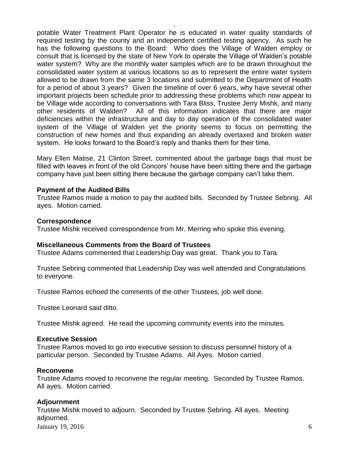potable Water Treatment Plant Operator he is educated in water quality standards of required testing by the county and an independent certified testing agency. As such he has the following questions to the Board: Who does the Village of Walden employ or consult that is licensed by the state of New York to operate the Village of Walden's potable water system? Why are the monthly water samples which are to be drawn throughout the consolidated water system at various locations so as to represent the entire water system allowed to be drawn from the same 3 locations and submitted to the Department of Health for a period of about 3 years? Given the timeline of over 6 years, why have several other important projects been schedule prior to addressing these problems which now appear to be Village wide according to conversations with Tara Bliss, Trustee Jerry Mishk, and many other residents of Walden? All of this information indicates that there are major deficiencies within the infrastructure and day to day operation of the consolidated water system of the Village of Walden yet the priority seems to focus on permitting the construction of new homes and thus expanding an already overtaxed and broken water system. He looks forward to the Board's reply and thanks them for their time.

.

Mary Ellen Matise, 21 Clinton Street, commented about the garbage bags that must be filled with leaves in front of the old Concors' house have been sitting there and the garbage company have just been sitting there because the garbage company can't take them.

#### **Payment of the Audited Bills**

Trustee Ramos made a motion to pay the audited bills. Seconded by Trustee Sebring. All ayes. Motion carried.

#### **Correspondence**

Trustee Mishk received correspondence from Mr. Merring who spoke this evening.

#### **Miscellaneous Comments from the Board of Trustees**

Trustee Adams commented that Leadership Day was great. Thank you to Tara.

Trustee Sebring commented that Leadership Day was well attended and Congratulations to everyone.

Trustee Ramos echoed the comments of the other Trustees, job well done.

Trustee Leonard said ditto.

Trustee Mishk agreed. He read the upcoming community events into the minutes.

#### **Executive Session**

Trustee Ramos moved to go into executive session to discuss personnel history of a particular person. Seconded by Trustee Adams. All Ayes. Motion carried.

#### **Reconvene**

Trustee Adams moved to reconvene the regular meeting. Seconded by Trustee Ramos. All ayes. Motion carried.

#### **Adjournment**

January 19, 2016  $\qquad \qquad$  6 Trustee Mishk moved to adjourn. Seconded by Trustee Sebring. All ayes. Meeting adjourned.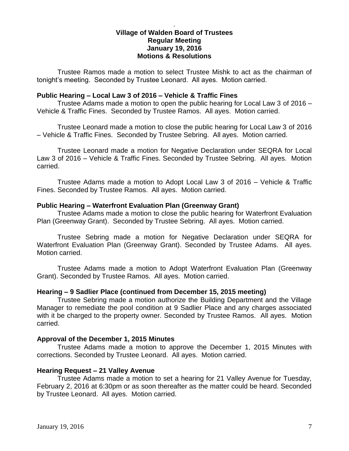# **Village of Walden Board of Trustees Regular Meeting January 19, 2016 Motions & Resolutions**

.

Trustee Ramos made a motion to select Trustee Mishk to act as the chairman of tonight's meeting. Seconded by Trustee Leonard. All ayes. Motion carried.

## **Public Hearing – Local Law 3 of 2016 – Vehicle & Traffic Fines**

Trustee Adams made a motion to open the public hearing for Local Law 3 of 2016 – Vehicle & Traffic Fines. Seconded by Trustee Ramos. All ayes. Motion carried.

Trustee Leonard made a motion to close the public hearing for Local Law 3 of 2016 – Vehicle & Traffic Fines. Seconded by Trustee Sebring. All ayes. Motion carried.

Trustee Leonard made a motion for Negative Declaration under SEQRA for Local Law 3 of 2016 – Vehicle & Traffic Fines. Seconded by Trustee Sebring. All ayes. Motion carried.

Trustee Adams made a motion to Adopt Local Law 3 of 2016 – Vehicle & Traffic Fines. Seconded by Trustee Ramos. All ayes. Motion carried.

#### **Public Hearing – Waterfront Evaluation Plan (Greenway Grant)**

Trustee Adams made a motion to close the public hearing for Waterfront Evaluation Plan (Greenway Grant). Seconded by Trustee Sebring. All ayes. Motion carried.

Trustee Sebring made a motion for Negative Declaration under SEQRA for Waterfront Evaluation Plan (Greenway Grant). Seconded by Trustee Adams. All ayes. Motion carried.

Trustee Adams made a motion to Adopt Waterfront Evaluation Plan (Greenway Grant). Seconded by Trustee Ramos. All ayes. Motion carried.

#### **Hearing – 9 Sadlier Place (continued from December 15, 2015 meeting)**

Trustee Sebring made a motion authorize the Building Department and the Village Manager to remediate the pool condition at 9 Sadlier Place and any charges associated with it be charged to the property owner. Seconded by Trustee Ramos. All ayes. Motion carried.

#### **Approval of the December 1, 2015 Minutes**

Trustee Adams made a motion to approve the December 1, 2015 Minutes with corrections. Seconded by Trustee Leonard. All ayes. Motion carried.

#### **Hearing Request – 21 Valley Avenue**

Trustee Adams made a motion to set a hearing for 21 Valley Avenue for Tuesday, February 2, 2016 at 6:30pm or as soon thereafter as the matter could be heard. Seconded by Trustee Leonard. All ayes. Motion carried.